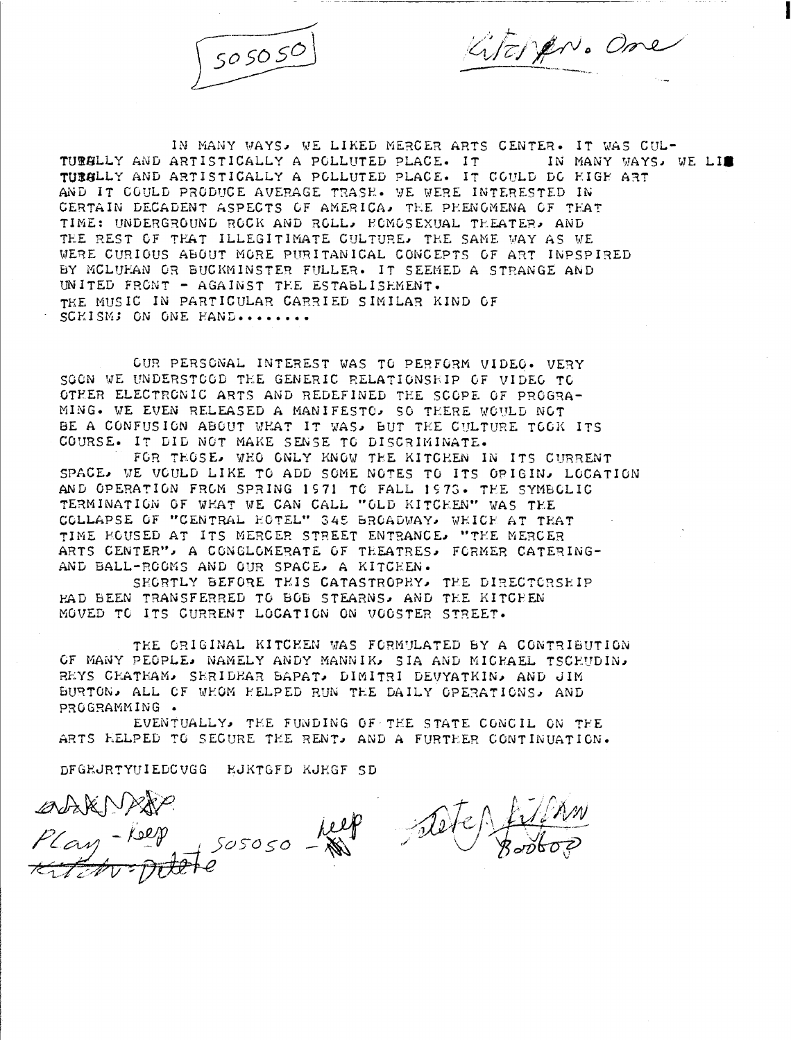

Literan. One

IN MANY WAYS, WE LIKED MERCER ARTS CENTER. IT WAS CUL-<br>ARTISTICALLY A POLLUTED PLACE. IT THE IN MANY WAYS, WE LI TURALLY AND ARTISTICALLY A POLLUTED PLACE. IT TURGLLY AND ARTISTICALLY A POLLUTED PLACE. IT COULD DO HIGH ART AND IT COULD PRODUCE AVERAGE TRASE. WE WERE INTERESTED IN CERTAIN DECADENT ASPECTS OF AMERICA, THE PHENOMENA OF THAT TIME: UNDERGROUND ROCK AND ROLL, HOMOSEXUAL THEATER, AND THE REST OF THAT ILLEGITIMATE CULTURE, THE SAME WAY AS WE WERE CURIOUS ABOUT MORE PURITANICAL CONCEPTS OF ART INPSPIRED BY MCLUHAN OR BUCKMINSTER FULLER. IT SEEMED A STRANGE AND UNITED FRONT - AGAINST TEE ESTABLISHMENT-THE MUSIC IN PARTICULAR CARRIED SIMILAR KIND OF SCEISM; ON ONE HAND........

OUR PERSONAL INTEREST WAS TO PERFORM VIDEO- VERY SOON WE UNDERSTOOD THE GENERIC RELATIONSHIP OF VIDEO TO OTHER ELECTRONIC ARTS AND REDEFINED THE SCOPE OF PROGRA-MING. WE EVEN RELEASED A MANIFESTO, SO THERE WOULD NOT BE A CONFUSION ABOUT WHAT IT WAS, BUT THE GULTURE TOOK ITS COURSE. IT DID NOT MAKE SENSE TO DISCRIMINATE.

FOR THOSE, WHO ONLY KNOW THE KITCHEN IN ITS CURRENT SPACE, WE VGULD LIKE TO ADD SOME NOTES TO ITS OPIGIN, LOCATION AND OPERATION FROM SPRING 1S71 TO FALL 1573 . TEE SYMBOLIC TERMINATION OF WHAT WE CAN CALL "GLD KITCHEN" WAS THE COLLAPSE OF "CENTRAL HOTEL" 345 BROADWAY, WHICH AT THAT TIME FOUSED AT ITS MERCER STREET ENTRANCE, "TYE MERCER ARTS CENTER", A CONGLOMERATE OF TEEATRES, FORMER CATERING-AND BALL-ROOMS AND OUR SPACE, A KITCHEN.

SHORTLY BEFORE THIS CATASTROPHY, THE DIRECTORSHIP Y.AD BEEN TRANSFERRED TO BOB STEARNS, AND TEE KITCFEN MOVED TO ITS CURRENT LOCATION ON VOOSTER STREET-

THE ORIGINAL KITCHEN WAS FORMULATED BY A CONTRIBUTION OF MANY PEOPLE, NAMELY ANDY MANNIK, SIA AND MICHAEL TSCHUDIN, REYS CHATHAM, SERIDHAR BAPAT, DIMITRI DEVYATKIN, AND JIM BURTON, ALL OF VYOM YELPED RUN TEE DAILY OPERATIONS, AND PROGRAMMING

EVENTUALLY, TEE FUNDING OF TYE STATE CGNCIL ON TEE ARTS HELPED TO SECURE THE RENT, AND A FURTHER CONTINUATION.

DFGEJRTYUIEDCVGG RJKTGFD KJRGF SD

abien plus<br>Play-help sososo- help alter film